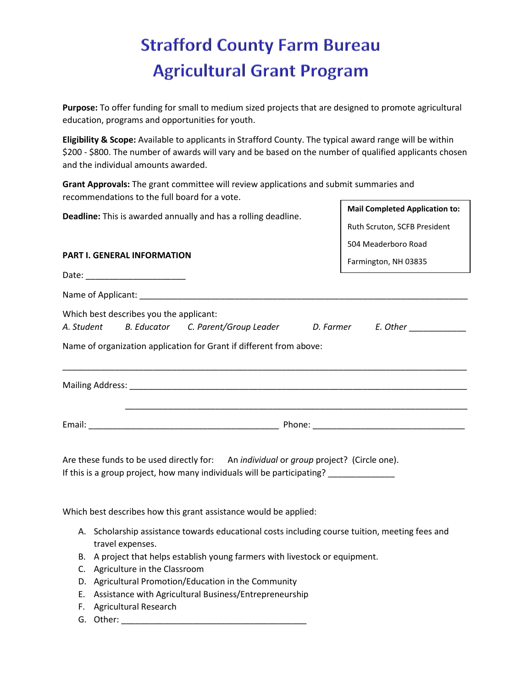## **Strafford County Farm Bureau Agricultural Grant Program**

**Purpose:** To offer funding for small to medium sized projects that are designed to promote agricultural education, programs and opportunities for youth.

**Eligibility & Scope:** Available to applicants in Strafford County. The typical award range will be within \$200 - \$800. The number of awards will vary and be based on the number of qualified applicants chosen and the individual amounts awarded.

**Grant Approvals:** The grant committee will review applications and submit summaries and recommendations to the full board for a vote.

| Deadline: This is awarded annually and has a rolling deadline. |                                                                                                                                                                                | <b>Mail Completed Application to:</b> |  |  |
|----------------------------------------------------------------|--------------------------------------------------------------------------------------------------------------------------------------------------------------------------------|---------------------------------------|--|--|
|                                                                |                                                                                                                                                                                | Ruth Scruton, SCFB President          |  |  |
|                                                                |                                                                                                                                                                                | 504 Meaderboro Road                   |  |  |
| <b>PART I. GENERAL INFORMATION</b>                             |                                                                                                                                                                                | Farmington, NH 03835                  |  |  |
|                                                                |                                                                                                                                                                                |                                       |  |  |
|                                                                | Name of Applicant: Name of Applicant:                                                                                                                                          |                                       |  |  |
| Which best describes you the applicant:<br>A. Student          | B. Educator C. Parent/Group Leader D. Farmer E. Other<br>Name of organization application for Grant if different from above:                                                   |                                       |  |  |
|                                                                |                                                                                                                                                                                |                                       |  |  |
|                                                                |                                                                                                                                                                                |                                       |  |  |
|                                                                | Are these funds to be used directly for: An individual or group project? (Circle one).<br>If this is a group project, how many individuals will be participating? ____________ |                                       |  |  |
|                                                                | Which best describes how this grant assistance would be applied:                                                                                                               |                                       |  |  |
| travel expenses.                                               | A. Scholarship assistance towards educational costs including course tuition, meeting fees and                                                                                 |                                       |  |  |
|                                                                | B. A project that helps establish young farmers with livestock or equipment.                                                                                                   |                                       |  |  |
|                                                                | C. Agriculture in the Classroom                                                                                                                                                |                                       |  |  |
|                                                                | D. Agricultural Promotion/Education in the Community                                                                                                                           |                                       |  |  |
|                                                                | Assistance with Agricultural Business/Entrepreneurship<br>Е.                                                                                                                   |                                       |  |  |
| F.                                                             | <b>Agricultural Research</b>                                                                                                                                                   |                                       |  |  |
| G. Other:                                                      |                                                                                                                                                                                |                                       |  |  |